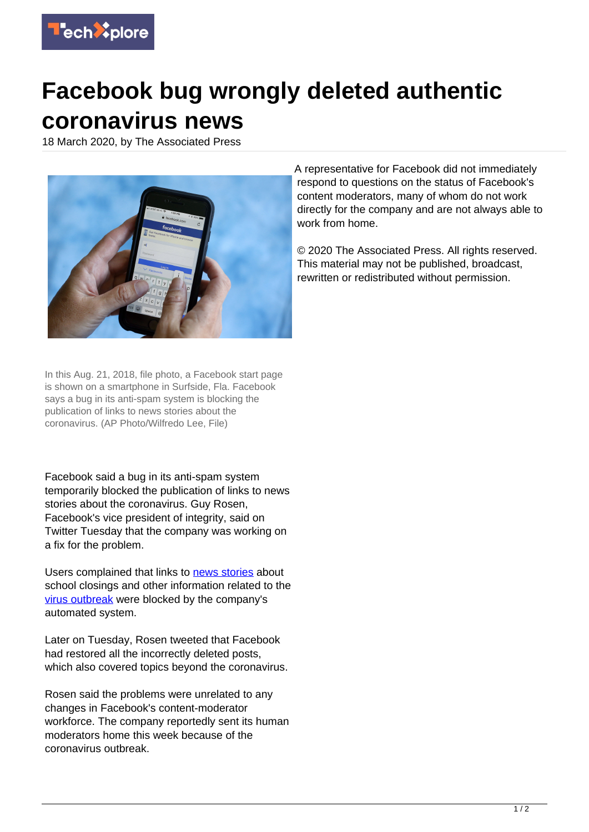

## **Facebook bug wrongly deleted authentic coronavirus news**

18 March 2020, by The Associated Press



In this Aug. 21, 2018, file photo, a Facebook start page is shown on a smartphone in Surfside, Fla. Facebook says a bug in its anti-spam system is blocking the publication of links to news stories about the coronavirus. (AP Photo/Wilfredo Lee, File)

Facebook said a bug in its anti-spam system temporarily blocked the publication of links to news stories about the coronavirus. Guy Rosen, Facebook's vice president of integrity, said on Twitter Tuesday that the company was working on a fix for the problem.

Users complained that links to [news stories](https://techxplore.com/tags/news+stories/) about school closings and other information related to the [virus outbreak](https://techxplore.com/tags/virus+outbreak/) were blocked by the company's automated system.

Later on Tuesday, Rosen tweeted that Facebook had restored all the incorrectly deleted posts, which also covered topics beyond the coronavirus.

Rosen said the problems were unrelated to any changes in Facebook's content-moderator workforce. The company reportedly sent its human moderators home this week because of the coronavirus outbreak.

A representative for Facebook did not immediately respond to questions on the status of Facebook's content moderators, many of whom do not work directly for the company and are not always able to work from home.

© 2020 The Associated Press. All rights reserved. This material may not be published, broadcast, rewritten or redistributed without permission.